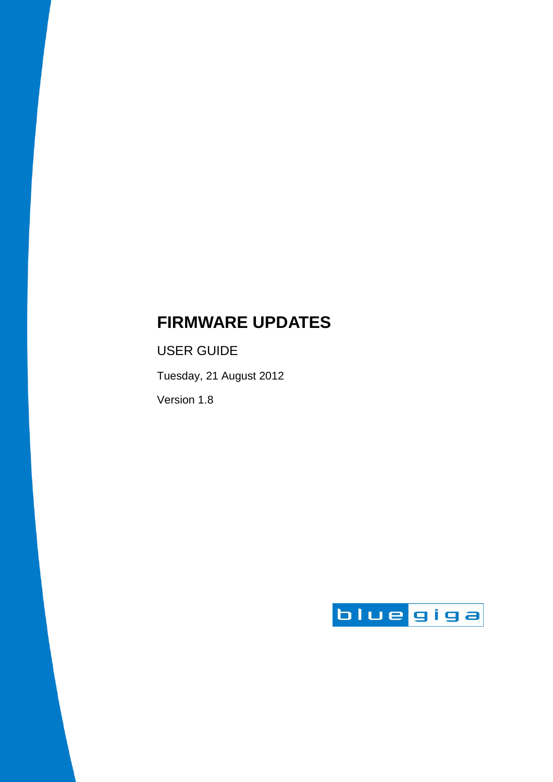# **FIRMWARE UPDATES**

USER GUIDE

Tuesday, 21 August 2012

Version 1.8

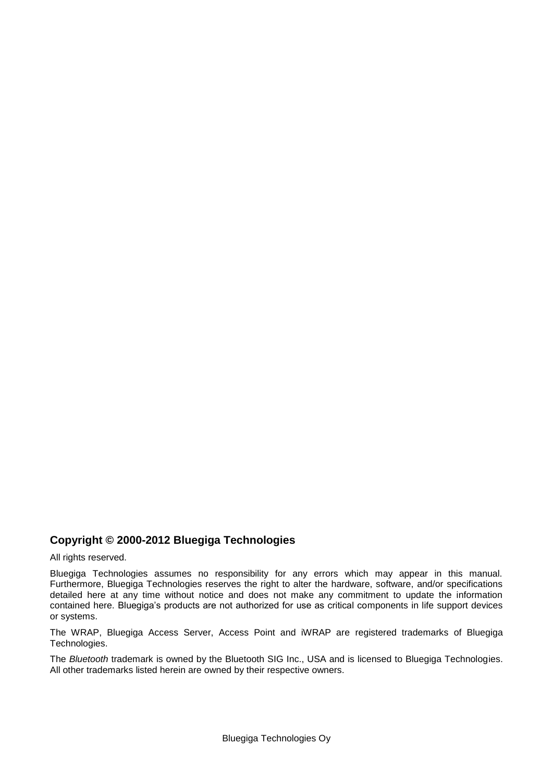#### **Copyright © 2000-2012 Bluegiga Technologies**

All rights reserved.

Bluegiga Technologies assumes no responsibility for any errors which may appear in this manual. Furthermore, Bluegiga Technologies reserves the right to alter the hardware, software, and/or specifications detailed here at any time without notice and does not make any commitment to update the information contained here. Bluegiga's products are not authorized for use as critical components in life support devices or systems.

The WRAP, Bluegiga Access Server, Access Point and iWRAP are registered trademarks of Bluegiga Technologies.

The *Bluetooth* trademark is owned by the Bluetooth SIG Inc., USA and is licensed to Bluegiga Technologies. All other trademarks listed herein are owned by their respective owners.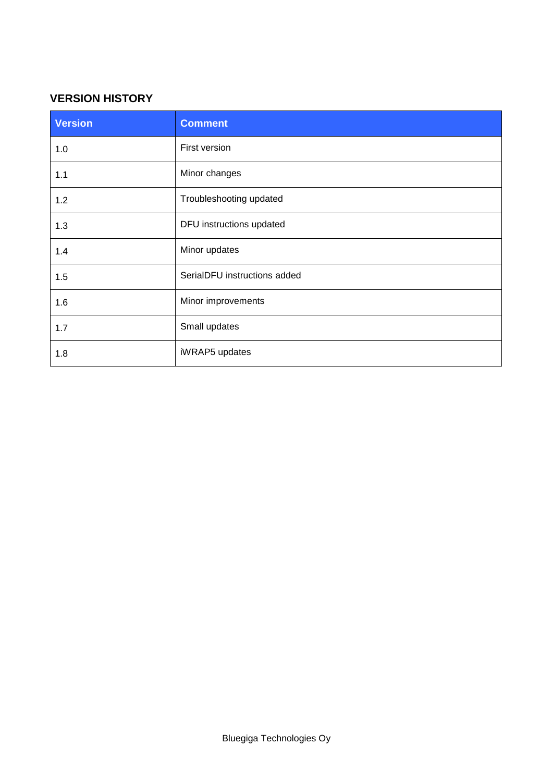#### **VERSION HISTORY**

| <b>Version</b> | <b>Comment</b>               |
|----------------|------------------------------|
| 1.0            | First version                |
| 1.1            | Minor changes                |
| 1.2            | Troubleshooting updated      |
| 1.3            | DFU instructions updated     |
| 1.4            | Minor updates                |
| 1.5            | SerialDFU instructions added |
| 1.6            | Minor improvements           |
| 1.7            | Small updates                |
| 1.8            | iWRAP5 updates               |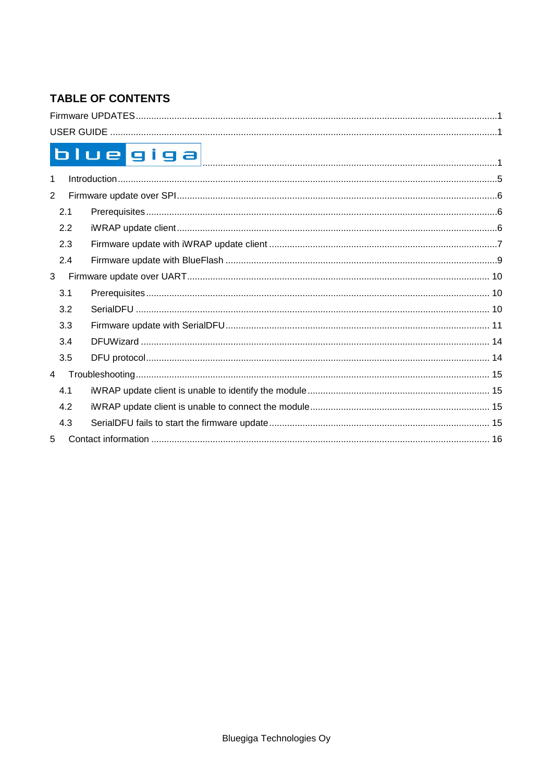## **TABLE OF CONTENTS**

| blue giga      |  |
|----------------|--|
| 1              |  |
| 2              |  |
| 2.1            |  |
| 2.2            |  |
| 2.3            |  |
| 2.4            |  |
| 3              |  |
| 3.1            |  |
| 3.2            |  |
| 3.3            |  |
| 3.4            |  |
| 3.5            |  |
| $\overline{4}$ |  |
| 4.1            |  |
| 4.2            |  |
| 4.3            |  |
| 5              |  |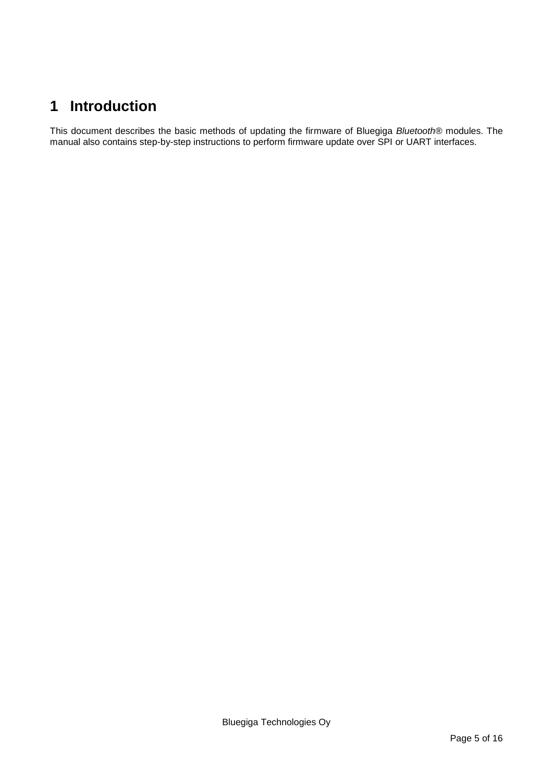## <span id="page-4-0"></span>**1 Introduction**

This document describes the basic methods of updating the firmware of Bluegiga *Bluetooth®* modules. The manual also contains step-by-step instructions to perform firmware update over SPI or UART interfaces.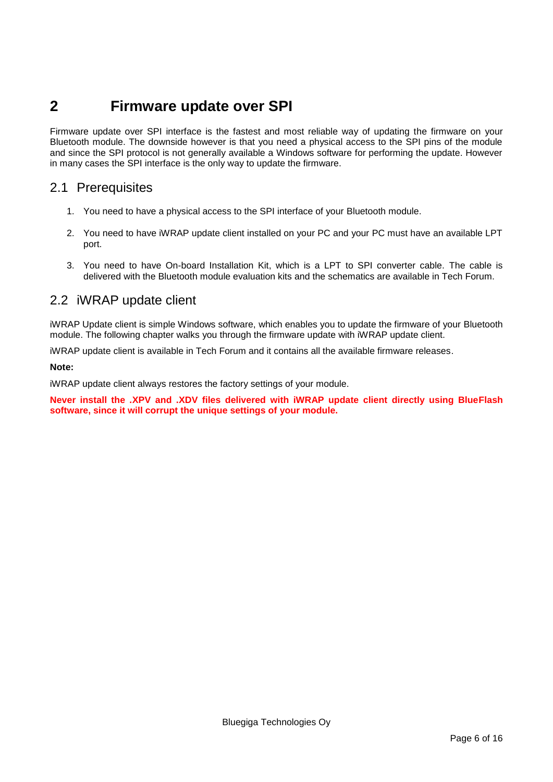## <span id="page-5-0"></span>**2 Firmware update over SPI**

Firmware update over SPI interface is the fastest and most reliable way of updating the firmware on your Bluetooth module. The downside however is that you need a physical access to the SPI pins of the module and since the SPI protocol is not generally available a Windows software for performing the update. However in many cases the SPI interface is the only way to update the firmware.

### <span id="page-5-1"></span>2.1 Prerequisites

- 1. You need to have a physical access to the SPI interface of your Bluetooth module.
- 2. You need to have iWRAP update client installed on your PC and your PC must have an available LPT port.
- 3. You need to have On-board Installation Kit, which is a LPT to SPI converter cable. The cable is delivered with the Bluetooth module evaluation kits and the schematics are available in Tech Forum.

### <span id="page-5-2"></span>2.2 iWRAP update client

iWRAP Update client is simple Windows software, which enables you to update the firmware of your Bluetooth module. The following chapter walks you through the firmware update with iWRAP update client.

iWRAP update client is available in Tech Forum and it contains all the available firmware releases.

**Note:**

iWRAP update client always restores the factory settings of your module.

**Never install the .XPV and .XDV files delivered with iWRAP update client directly using BlueFlash software, since it will corrupt the unique settings of your module.**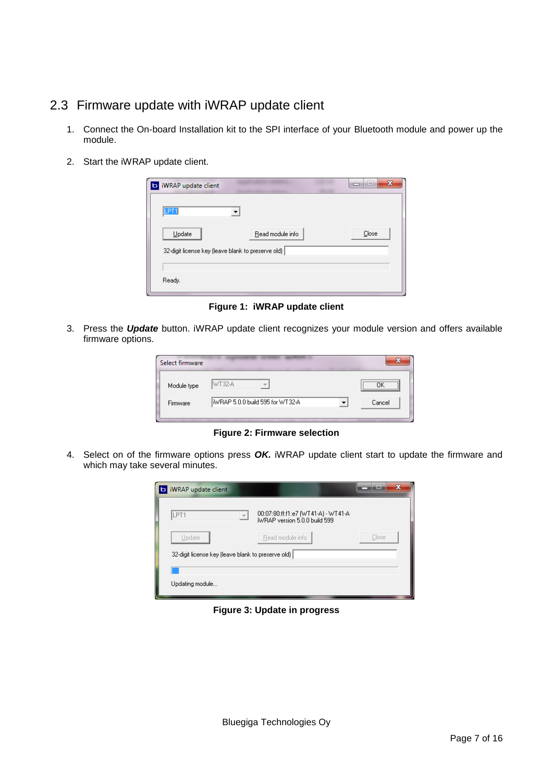## <span id="page-6-0"></span>2.3 Firmware update with iWRAP update client

- 1. Connect the On-board Installation kit to the SPI interface of your Bluetooth module and power up the module.
- 2. Start the iWRAP update client.

| iWRAP update client                                | х<br>10 |
|----------------------------------------------------|---------|
| <b>TET</b>                                         |         |
| Update<br>Read module info                         | Close   |
| 32-digit license key (leave blank to preserve old) |         |
|                                                    |         |
| Ready.                                             |         |
|                                                    |         |

**Figure 1: iWRAP update client**

3. Press the *Update* button. iWRAP update client recognizes your module version and offers available firmware options.

| Select firmware |                                  |                                      |
|-----------------|----------------------------------|--------------------------------------|
| Module type     | WT32-A                           | ,,,,,,,,,,,,,,,,,,,,,,,,,,,,,,,<br>` |
| Firmware        | IWBAP 5.0.0 build 595 for WT32-A | Cancel                               |
|                 |                                  |                                      |

**Figure 2: Firmware selection**

4. Select on of the firmware options press *OK.* iWRAP update client start to update the firmware and which may take several minutes.



**Figure 3: Update in progress**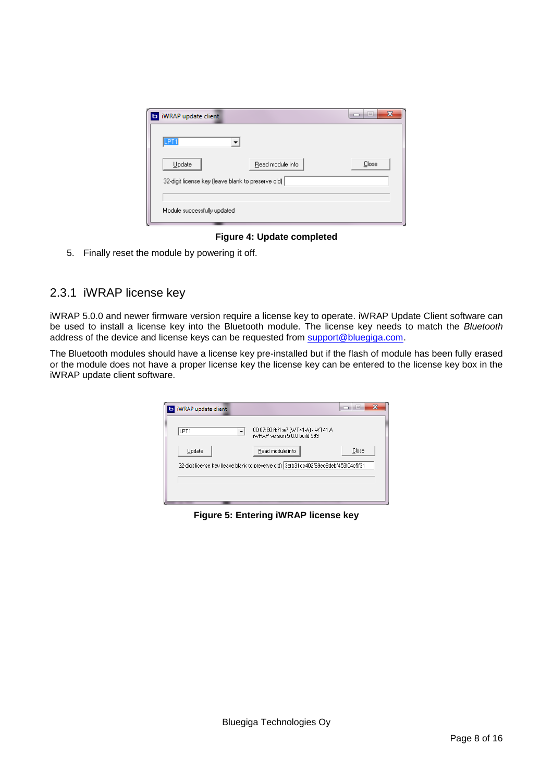| <b>b</b> iWRAP update client                       | x<br>e |
|----------------------------------------------------|--------|
| LPT <sub>1</sub>                                   |        |
| Update<br>Read module info                         | Close  |
| 32-digit license key (leave blank to preserve old) |        |
|                                                    |        |
| Module successfully updated                        |        |

**Figure 4: Update completed**

5. Finally reset the module by powering it off.

#### 2.3.1 iWRAP license key

iWRAP 5.0.0 and newer firmware version require a license key to operate. iWRAP Update Client software can be used to install a license key into the Bluetooth module. The license key needs to match the *Bluetooth* address of the device and license keys can be requested from [support@bluegiga.com.](mailto:support@bluegiga.com)

The Bluetooth modules should have a license key pre-installed but if the flash of module has been fully erased or the module does not have a proper license key the license key can be entered to the license key box in the iWRAP update client software.



**Figure 5: Entering iWRAP license key**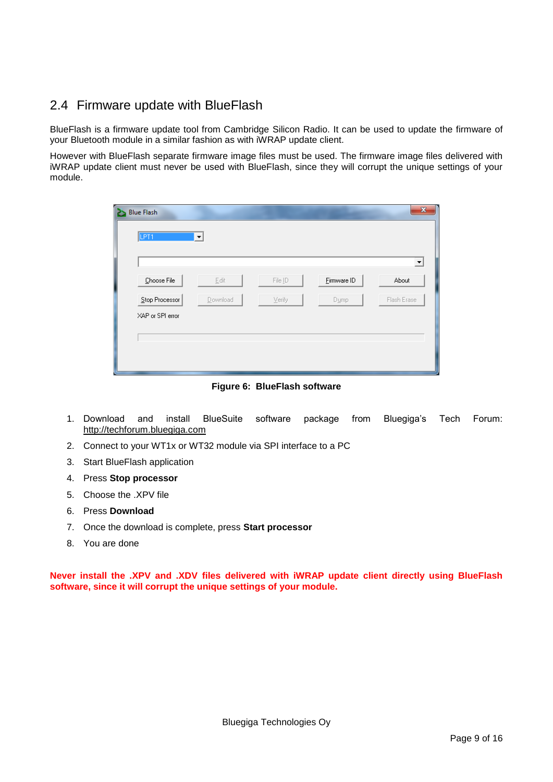## <span id="page-8-0"></span>2.4 Firmware update with BlueFlash

BlueFlash is a firmware update tool from Cambridge Silicon Radio. It can be used to update the firmware of your Bluetooth module in a similar fashion as with iWRAP update client.

However with BlueFlash separate firmware image files must be used. The firmware image files delivered with iWRAP update client must never be used with BlueFlash, since they will corrupt the unique settings of your module.

| LPT <sub>1</sub><br>▼<br>Choose File<br>Eirmware ID<br>Edit<br>File [D<br>Stop Processor<br>Download<br>Verify<br>Dump<br>XAP or SPI error | $\mathbf{x}$ |             |  | <b>Blue Flash</b><br>25 |
|--------------------------------------------------------------------------------------------------------------------------------------------|--------------|-------------|--|-------------------------|
|                                                                                                                                            |              |             |  |                         |
|                                                                                                                                            | ᅬ            |             |  |                         |
|                                                                                                                                            |              | About       |  |                         |
|                                                                                                                                            |              | Flash Erase |  |                         |
|                                                                                                                                            |              |             |  |                         |
|                                                                                                                                            |              |             |  |                         |
|                                                                                                                                            |              |             |  |                         |

**Figure 6: BlueFlash software**

- 1. Download and install BlueSuite software package from Bluegiga's Tech Forum: http://techforum.bluegiga.com
- 2. Connect to your WT1x or WT32 module via SPI interface to a PC
- 3. Start BlueFlash application
- 4. Press **Stop processor**
- 5. Choose the .XPV file
- 6. Press **Download**
- 7. Once the download is complete, press **Start processor**
- 8. You are done

**Never install the .XPV and .XDV files delivered with iWRAP update client directly using BlueFlash software, since it will corrupt the unique settings of your module.**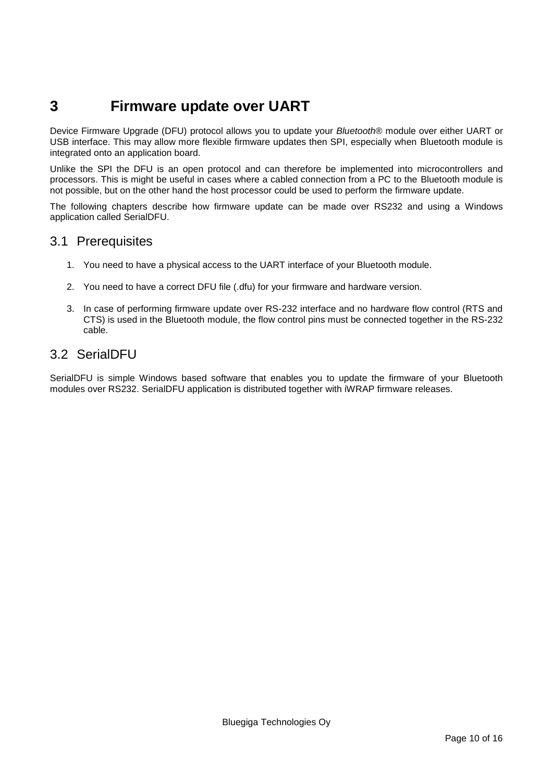## <span id="page-9-0"></span>**3 Firmware update over UART**

Device Firmware Upgrade (DFU) protocol allows you to update your *Bluetooth®* module over either UART or USB interface. This may allow more flexible firmware updates then SPI, especially when Bluetooth module is integrated onto an application board.

Unlike the SPI the DFU is an open protocol and can therefore be implemented into microcontrollers and processors. This is might be useful in cases where a cabled connection from a PC to the Bluetooth module is not possible, but on the other hand the host processor could be used to perform the firmware update.

The following chapters describe how firmware update can be made over RS232 and using a Windows application called SerialDFU.

#### <span id="page-9-1"></span>3.1 Prerequisites

- 1. You need to have a physical access to the UART interface of your Bluetooth module.
- 2. You need to have a correct DFU file (.dfu) for your firmware and hardware version.
- 3. In case of performing firmware update over RS-232 interface and no hardware flow control (RTS and CTS) is used in the Bluetooth module, the flow control pins must be connected together in the RS-232 cable.

## <span id="page-9-2"></span>3.2 SerialDFU

SerialDFU is simple Windows based software that enables you to update the firmware of your Bluetooth modules over RS232. SerialDFU application is distributed together with iWRAP firmware releases.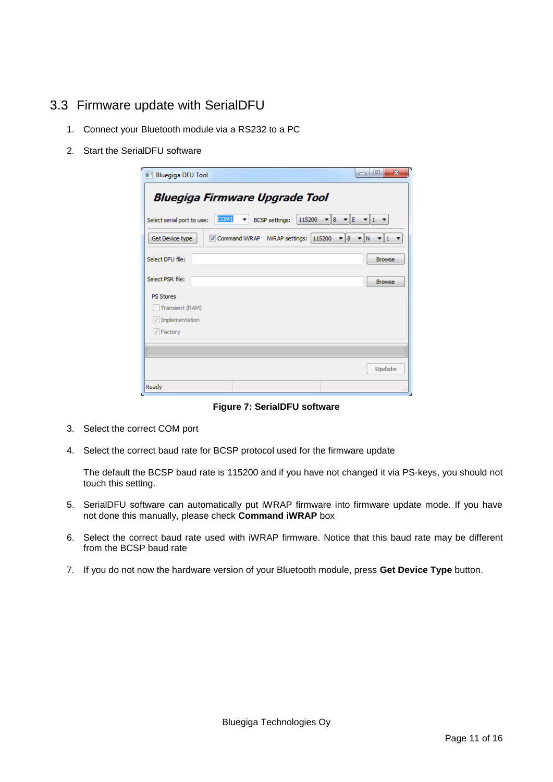## <span id="page-10-0"></span>3.3 Firmware update with SerialDFU

- 1. Connect your Bluetooth module via a RS232 to a PC
- 2. Start the SerialDFU software

| <b>Bluegiga DFU Tool</b>   |                                          |                                 |                               | $\overline{\mathbf{x}}$<br>叵<br>$\Box$          |
|----------------------------|------------------------------------------|---------------------------------|-------------------------------|-------------------------------------------------|
|                            | <b>Bluegiga Firmware Upgrade Tool</b>    |                                 |                               |                                                 |
| Select serial port to use: | COM <sub>1</sub><br>$\blacktriangledown$ | 115200<br><b>BCSP</b> settings: | $\mathbf{v}$ 8 $\mathbf{v}$ E | $\mathbf{v}$ 1 $\mathbf{v}$                     |
| Get Device type            | Command iWRAP iWRAP settings:            |                                 | 115200<br>$\mathbf{v}$ 8      | $\mathbf{v}$   1 $\mathbf{v}$<br>$\blacksquare$ |
| Select DFU file:           |                                          |                                 |                               | <b>Browse</b>                                   |
| Select PSR file:           |                                          |                                 |                               | <b>Browse</b>                                   |
| <b>PS Stores</b>           |                                          |                                 |                               |                                                 |
| Transient (RAM)            |                                          |                                 |                               |                                                 |
| $\sqrt{}$ Implementation   |                                          |                                 |                               |                                                 |
| $\sqrt{}$ Factory          |                                          |                                 |                               |                                                 |
|                            |                                          |                                 |                               |                                                 |
|                            |                                          |                                 |                               |                                                 |
|                            |                                          |                                 |                               | <b>Update</b>                                   |
| Ready                      |                                          |                                 |                               |                                                 |

**Figure 7: SerialDFU software**

- 3. Select the correct COM port
- 4. Select the correct baud rate for BCSP protocol used for the firmware update

The default the BCSP baud rate is 115200 and if you have not changed it via PS-keys, you should not touch this setting.

- 5. SerialDFU software can automatically put iWRAP firmware into firmware update mode. If you have not done this manually, please check **Command iWRAP** box
- 6. Select the correct baud rate used with iWRAP firmware. Notice that this baud rate may be different from the BCSP baud rate
- 7. If you do not now the hardware version of your Bluetooth module, press **Get Device Type** button.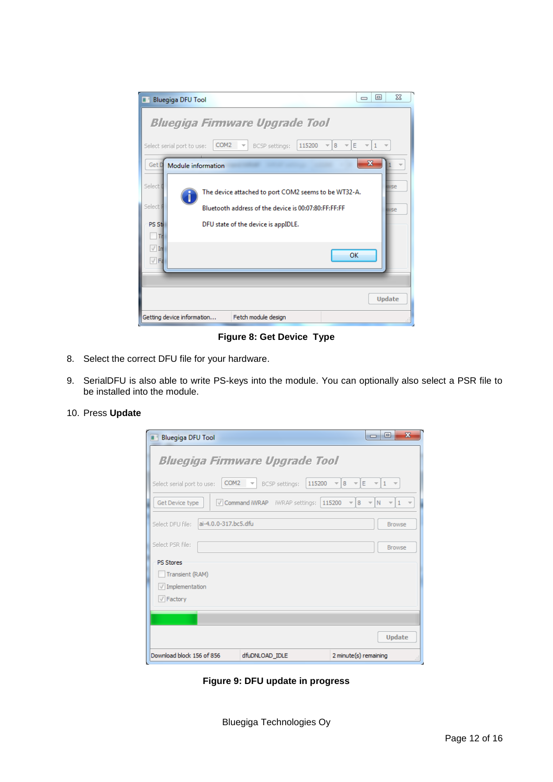

**Figure 8: Get Device Type**

- 8. Select the correct DFU file for your hardware.
- 9. SerialDFU is also able to write PS-keys into the module. You can optionally also select a PSR file to be installed into the module.

| 10. Press Update |  |  |  |  |
|------------------|--|--|--|--|
|------------------|--|--|--|--|

| $\mathbf x$<br>回<br>$\Box$<br><b>Bluegiga DFU Tool</b>                                                                                                                                   |
|------------------------------------------------------------------------------------------------------------------------------------------------------------------------------------------|
| <b>Bluegiga Firmware Upgrade Tool</b>                                                                                                                                                    |
| COM <sub>2</sub><br>IE.<br>115200<br>$-18$<br>$\overline{\phantom{a}}$<br>Select serial port to use:<br>BCSP settings:<br>$\frac{1}{2}$<br>$\overline{\psi}$<br>$\overline{\mathcal{M}}$ |
| Command iWRAP iWRAP settings:<br>Get Device type<br>115200<br>8<br>N<br>$\mathbf{1}$<br>$\overline{\phantom{a}}$                                                                         |
| ai-4.0.0-317.bc5.dfu<br>Select DFU file:<br><b>Browse</b>                                                                                                                                |
| Select PSR file:<br><b>Browse</b>                                                                                                                                                        |
| <b>PS Stores</b>                                                                                                                                                                         |
| Transient (RAM)                                                                                                                                                                          |
| $\sqrt{}$ Implementation                                                                                                                                                                 |
| $\sqrt{}$ Factory                                                                                                                                                                        |
|                                                                                                                                                                                          |
| <b>Update</b>                                                                                                                                                                            |
| Download block 156 of 856<br>dfuDNLOAD_IDLE<br>2 minute(s) remaining<br>лi                                                                                                               |

**Figure 9: DFU update in progress**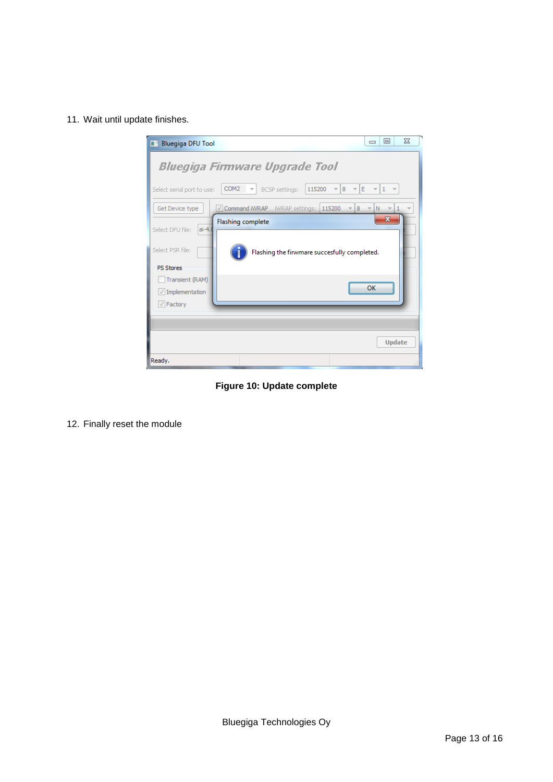11. Wait until update finishes.



**Figure 10: Update complete**

12. Finally reset the module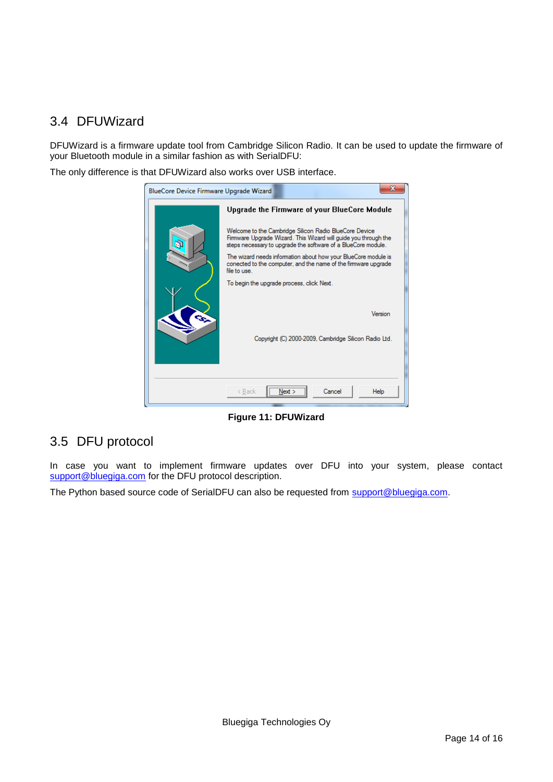## <span id="page-13-0"></span>3.4 DFUWizard

DFUWizard is a firmware update tool from Cambridge Silicon Radio. It can be used to update the firmware of your Bluetooth module in a similar fashion as with SerialDFU:

The only difference is that DFUWizard also works over USB interface.



**Figure 11: DFUWizard**

### <span id="page-13-1"></span>3.5 DFU protocol

In case you want to implement firmware updates over DFU into your system, please contact [support@bluegiga.com](mailto:support@bluegiga.com) for the DFU protocol description.

The Python based source code of SerialDFU can also be requested from [support@bluegiga.com.](mailto:support@bluegiga.com)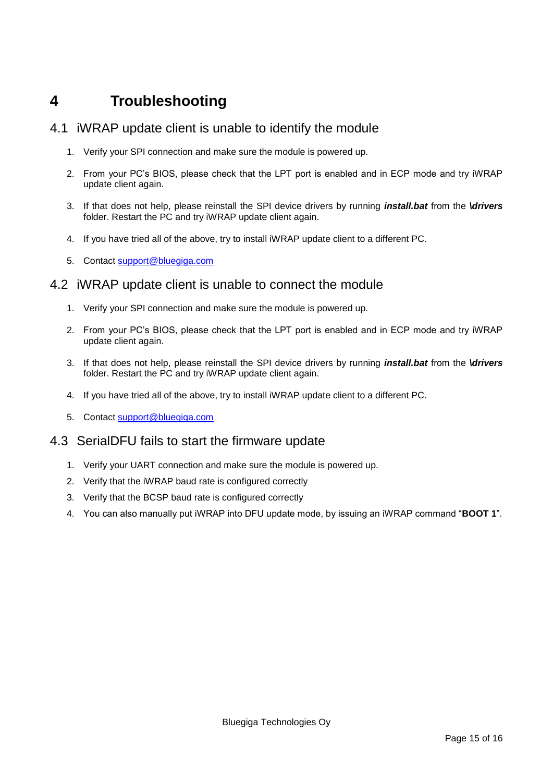## <span id="page-14-0"></span>**4 Troubleshooting**

#### <span id="page-14-1"></span>4.1 iWRAP update client is unable to identify the module

- 1. Verify your SPI connection and make sure the module is powered up.
- 2. From your PC's BIOS, please check that the LPT port is enabled and in ECP mode and try iWRAP update client again.
- 3. If that does not help, please reinstall the SPI device drivers by running *install.bat* from the *\drivers* folder. Restart the PC and try iWRAP update client again.
- 4. If you have tried all of the above, try to install iWRAP update client to a different PC.
- 5. Contact [support@bluegiga.com](mailto:support@bluegiga.com)

#### <span id="page-14-2"></span>4.2 iWRAP update client is unable to connect the module

- 1. Verify your SPI connection and make sure the module is powered up.
- 2. From your PC's BIOS, please check that the LPT port is enabled and in ECP mode and try iWRAP update client again.
- 3. If that does not help, please reinstall the SPI device drivers by running *install.bat* from the *\drivers* folder. Restart the PC and try iWRAP update client again.
- 4. If you have tried all of the above, try to install iWRAP update client to a different PC.
- 5. Contact [support@bluegiga.com](mailto:support@bluegiga.com)

### <span id="page-14-3"></span>4.3 SerialDFU fails to start the firmware update

- 1. Verify your UART connection and make sure the module is powered up.
- 2. Verify that the iWRAP baud rate is configured correctly
- 3. Verify that the BCSP baud rate is configured correctly
- 4. You can also manually put iWRAP into DFU update mode, by issuing an iWRAP command "**BOOT 1**".